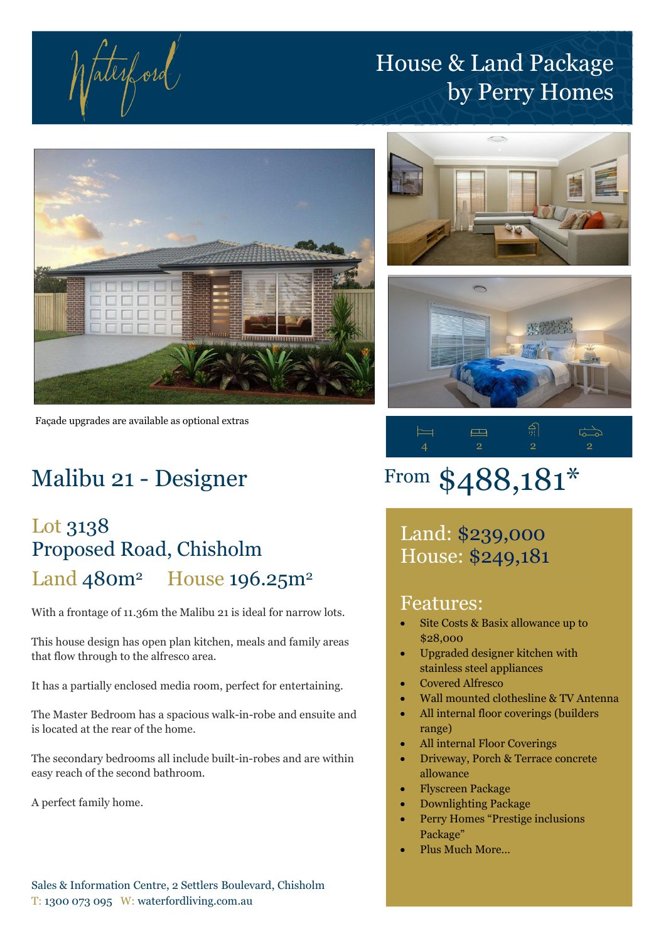fatesford

# House & Land Package by Perry Homes



Façade upgrades are available as optional extras

## Malibu 21 - Designer

### Lot 3138 Proposed Road, Chisholm Land 480m<sup>2</sup> House 196.25m<sup>2</sup>

With a frontage of 11.36m the Malibu 21 is ideal for narrow lots.

This house design has open plan kitchen, meals and family areas that flow through to the alfresco area.

It has a partially enclosed media room, perfect for entertaining.

The Master Bedroom has a spacious walk-in-robe and ensuite and is located at the rear of the home.

The secondary bedrooms all include built-in-robes and are within easy reach of the second bathroom.

A perfect family home.

Sales & Information Centre, 2 Settlers Boulevard, Chisholm T: 1300 073 095 W: waterfordliving.com.au







# From \$488,181\*

Land: \$239,000 House: \$249,181

### Features:

- Site Costs & Basix allowance up to \$28,000
- Upgraded designer kitchen with stainless steel appliances
- Covered Alfresco
- Wall mounted clothesline & TV Antenna
- All internal floor coverings (builders range)
- All internal Floor Coverings
- Driveway, Porch & Terrace concrete allowance
- Flyscreen Package
- Downlighting Package
- Perry Homes "Prestige inclusions Package"
- Plus Much More…